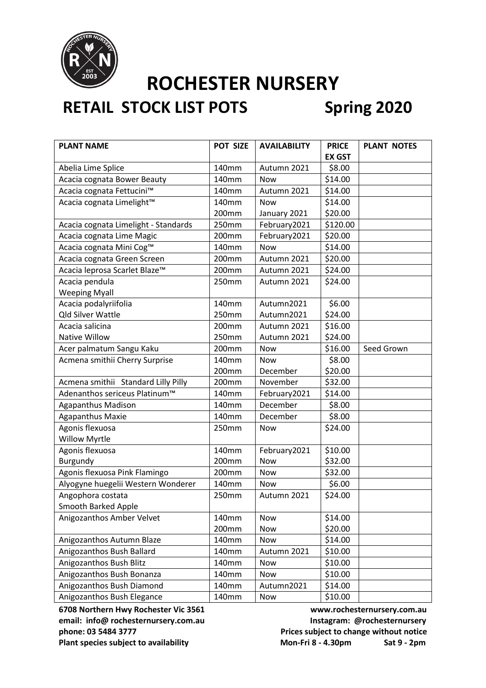

## **RETAIL STOCK LIST POTS Spring 2020**

| <b>PLANT NAME</b>                    | POT SIZE | <b>AVAILABILITY</b> | <b>PRICE</b>  | <b>PLANT NOTES</b> |
|--------------------------------------|----------|---------------------|---------------|--------------------|
|                                      |          |                     | <b>EX GST</b> |                    |
| Abelia Lime Splice                   | 140mm    | Autumn 2021         | \$8.00        |                    |
| Acacia cognata Bower Beauty          | 140mm    | Now                 | \$14.00       |                    |
| Acacia cognata Fettucini™            | 140mm    | Autumn 2021         | \$14.00       |                    |
| Acacia cognata Limelight™            | 140mm    | <b>Now</b>          | \$14.00       |                    |
|                                      | 200mm    | January 2021        | \$20.00       |                    |
| Acacia cognata Limelight - Standards | 250mm    | February2021        | \$120.00      |                    |
| Acacia cognata Lime Magic            | 200mm    | February2021        | \$20.00       |                    |
| Acacia cognata Mini Cog™             | 140mm    | <b>Now</b>          | \$14.00       |                    |
| Acacia cognata Green Screen          | 200mm    | Autumn 2021         | \$20.00       |                    |
| Acacia leprosa Scarlet Blaze™        | 200mm    | Autumn 2021         | \$24.00       |                    |
| Acacia pendula                       | 250mm    | Autumn 2021         | \$24.00       |                    |
| <b>Weeping Myall</b>                 |          |                     |               |                    |
| Acacia podalyriifolia                | 140mm    | Autumn2021          | \$6.00        |                    |
| <b>Qld Silver Wattle</b>             | 250mm    | Autumn2021          | \$24.00       |                    |
| Acacia salicina                      | 200mm    | Autumn 2021         | \$16.00       |                    |
| Native Willow                        | 250mm    | Autumn 2021         | \$24.00       |                    |
| Acer palmatum Sangu Kaku             | 200mm    | <b>Now</b>          | \$16.00       | Seed Grown         |
| Acmena smithii Cherry Surprise       | 140mm    | <b>Now</b>          | \$8.00        |                    |
|                                      | 200mm    | December            | \$20.00       |                    |
| Acmena smithii Standard Lilly Pilly  | 200mm    | November            | \$32.00       |                    |
| Adenanthos sericeus Platinum™        | 140mm    | February2021        | \$14.00       |                    |
| <b>Agapanthus Madison</b>            | 140mm    | December            | \$8.00        |                    |
| <b>Agapanthus Maxie</b>              | 140mm    | December            | \$8.00        |                    |
| Agonis flexuosa                      | 250mm    | <b>Now</b>          | \$24.00       |                    |
| <b>Willow Myrtle</b>                 |          |                     |               |                    |
| Agonis flexuosa                      | 140mm    | February2021        | \$10.00       |                    |
| Burgundy                             | 200mm    | <b>Now</b>          | \$32.00       |                    |
| Agonis flexuosa Pink Flamingo        | 200mm    | Now                 | \$32.00       |                    |
| Alyogyne huegelii Western Wonderer   | 140mm    | <b>Now</b>          | \$6.00        |                    |
| Angophora costata                    | 250mm    | Autumn 2021         | \$24.00       |                    |
| Smooth Barked Apple                  |          |                     |               |                    |
| Anigozanthos Amber Velvet            | 140mm    | Now                 | \$14.00       |                    |
|                                      | 200mm    | Now                 | \$20.00       |                    |
| Anigozanthos Autumn Blaze            | 140mm    | Now                 | \$14.00       |                    |
| Anigozanthos Bush Ballard            | 140mm    | Autumn 2021         | \$10.00       |                    |
| Anigozanthos Bush Blitz              | 140mm    | Now                 | \$10.00       |                    |
| Anigozanthos Bush Bonanza            | 140mm    | Now                 | \$10.00       |                    |
| Anigozanthos Bush Diamond            | 140mm    | Autumn2021          | \$14.00       |                    |
| Anigozanthos Bush Elegance           | 140mm    | Now                 | \$10.00       |                    |

email: info@ rochesternursery.com.au **Instagram: @rochesternursery phone: 03 5484 3777 Prices subject to change without notice**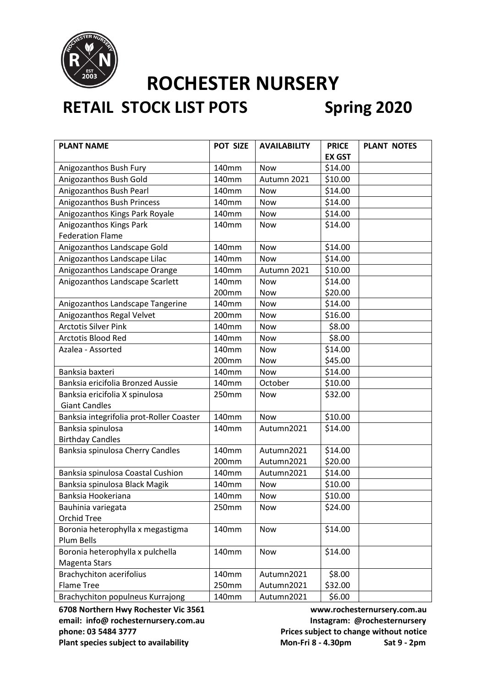

## **RETAIL STOCK LIST POTS Spring 2020**

| <b>PLANT NAME</b>                        | POT SIZE | <b>AVAILABILITY</b> | <b>PRICE</b>  | <b>PLANT NOTES</b> |
|------------------------------------------|----------|---------------------|---------------|--------------------|
|                                          |          |                     | <b>EX GST</b> |                    |
| Anigozanthos Bush Fury                   | 140mm    | Now                 | \$14.00       |                    |
| Anigozanthos Bush Gold                   | 140mm    | Autumn 2021         | \$10.00       |                    |
| Anigozanthos Bush Pearl                  | 140mm    | <b>Now</b>          | \$14.00       |                    |
| Anigozanthos Bush Princess               | 140mm    | <b>Now</b>          | \$14.00       |                    |
| Anigozanthos Kings Park Royale           | 140mm    | Now                 | \$14.00       |                    |
| Anigozanthos Kings Park                  | 140mm    | <b>Now</b>          | \$14.00       |                    |
| <b>Federation Flame</b>                  |          |                     |               |                    |
| Anigozanthos Landscape Gold              | 140mm    | <b>Now</b>          | \$14.00       |                    |
| Anigozanthos Landscape Lilac             | 140mm    | Now                 | \$14.00       |                    |
| Anigozanthos Landscape Orange            | 140mm    | Autumn 2021         | \$10.00       |                    |
| Anigozanthos Landscape Scarlett          | 140mm    | <b>Now</b>          | \$14.00       |                    |
|                                          | 200mm    | Now                 | \$20.00       |                    |
| Anigozanthos Landscape Tangerine         | 140mm    | <b>Now</b>          | \$14.00       |                    |
| Anigozanthos Regal Velvet                | 200mm    | Now                 | \$16.00       |                    |
| <b>Arctotis Silver Pink</b>              | 140mm    | Now                 | \$8.00        |                    |
| <b>Arctotis Blood Red</b>                | 140mm    | <b>Now</b>          | \$8.00        |                    |
| Azalea - Assorted                        | 140mm    | <b>Now</b>          | \$14.00       |                    |
|                                          | 200mm    | Now                 | \$45.00       |                    |
| Banksia baxteri                          | 140mm    | Now                 | \$14.00       |                    |
| Banksia ericifolia Bronzed Aussie        | 140mm    | October             | \$10.00       |                    |
| Banksia ericifolia X spinulosa           | 250mm    | Now                 | \$32.00       |                    |
| <b>Giant Candles</b>                     |          |                     |               |                    |
| Banksia integrifolia prot-Roller Coaster | 140mm    | <b>Now</b>          | \$10.00       |                    |
| Banksia spinulosa                        | 140mm    | Autumn2021          | \$14.00       |                    |
| <b>Birthday Candles</b>                  |          |                     |               |                    |
| Banksia spinulosa Cherry Candles         | 140mm    | Autumn2021          | \$14.00       |                    |
|                                          | 200mm    | Autumn2021          | \$20.00       |                    |
| Banksia spinulosa Coastal Cushion        | 140mm    | Autumn2021          | \$14.00       |                    |
| Banksia spinulosa Black Magik            | 140mm    | <b>Now</b>          | \$10.00       |                    |
| Banksia Hookeriana                       | 140mm    | Now                 | \$10.00       |                    |
| Bauhinia variegata                       | 250mm    | Now                 | \$24.00       |                    |
| <b>Orchid Tree</b>                       |          |                     |               |                    |
| Boronia heterophylla x megastigma        | 140mm    | Now                 | \$14.00       |                    |
| Plum Bells                               |          |                     |               |                    |
| Boronia heterophylla x pulchella         | 140mm    | <b>Now</b>          | \$14.00       |                    |
| Magenta Stars                            |          |                     |               |                    |
| <b>Brachychiton acerifolius</b>          | 140mm    | Autumn2021          | \$8.00        |                    |
| <b>Flame Tree</b>                        | 250mm    | Autumn2021          | \$32.00       |                    |
| Brachychiton populneus Kurrajong         | 140mm    | Autumn2021          | \$6.00        |                    |

**6708 Northern Hwy Rochester Vic 3561 www.rochesternursery.com.au** email: info@ rochesternursery.com.au **Instagram: @rochesternursery phone: 03 5484 3777 Prices subject to change without notice**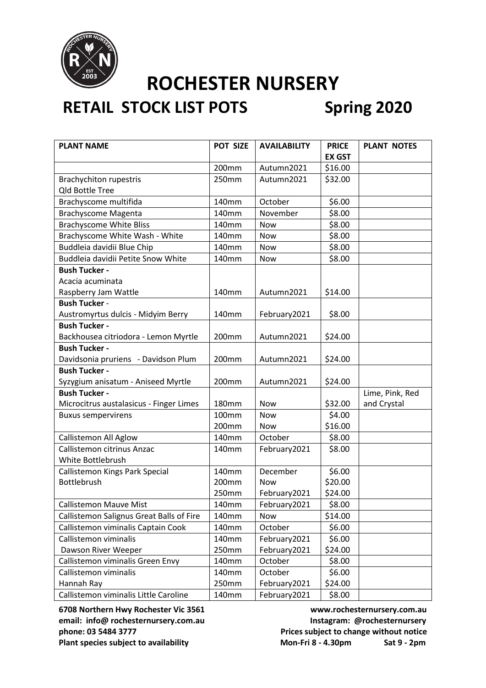

## **RETAIL STOCK LIST POTS Spring 2020**

| <b>PLANT NAME</b>                        | POT SIZE     | <b>AVAILABILITY</b> | <b>PRICE</b>  | <b>PLANT NOTES</b> |
|------------------------------------------|--------------|---------------------|---------------|--------------------|
|                                          |              |                     | <b>EX GST</b> |                    |
|                                          | 200mm        | Autumn2021          | \$16.00       |                    |
| <b>Brachychiton rupestris</b>            | 250mm        | Autumn2021          | \$32.00       |                    |
| <b>Qld Bottle Tree</b>                   |              |                     |               |                    |
| Brachyscome multifida                    | 140mm        | October             | \$6.00        |                    |
| <b>Brachyscome Magenta</b>               | 140mm        | November            | \$8.00        |                    |
| <b>Brachyscome White Bliss</b>           | 140mm        | <b>Now</b>          | \$8.00        |                    |
| Brachyscome White Wash - White           | 140mm        | <b>Now</b>          | \$8.00        |                    |
| Buddleia davidii Blue Chip               | 140mm        | Now                 | \$8.00        |                    |
| Buddleia davidii Petite Snow White       | 140mm        | Now                 | \$8.00        |                    |
| <b>Bush Tucker -</b>                     |              |                     |               |                    |
| Acacia acuminata                         |              |                     |               |                    |
| Raspberry Jam Wattle                     | 140mm        | Autumn2021          | \$14.00       |                    |
| <b>Bush Tucker -</b>                     |              |                     |               |                    |
| Austromyrtus dulcis - Midyim Berry       | 140mm        | February2021        | \$8.00        |                    |
| <b>Bush Tucker -</b>                     |              |                     |               |                    |
| Backhousea citriodora - Lemon Myrtle     | 200mm        | Autumn2021          | \$24.00       |                    |
| <b>Bush Tucker -</b>                     |              |                     |               |                    |
| Davidsonia pruriens - Davidson Plum      | 200mm        | Autumn2021          | \$24.00       |                    |
| <b>Bush Tucker -</b>                     |              |                     |               |                    |
| Syzygium anisatum - Aniseed Myrtle       | 200mm        | Autumn2021          | \$24.00       |                    |
| <b>Bush Tucker -</b>                     |              |                     |               | Lime, Pink, Red    |
| Microcitrus austalasicus - Finger Limes  | <b>180mm</b> | <b>Now</b>          | \$32.00       | and Crystal        |
| <b>Buxus sempervirens</b>                | 100mm        | Now                 | \$4.00        |                    |
|                                          | 200mm        | <b>Now</b>          | \$16.00       |                    |
| Callistemon All Aglow                    | 140mm        | October             | \$8.00        |                    |
| Callistemon citrinus Anzac               | 140mm        | February2021        | \$8.00        |                    |
| White Bottlebrush                        |              |                     |               |                    |
| Callistemon Kings Park Special           | 140mm        | December            | \$6.00        |                    |
| Bottlebrush                              | 200mm        | Now                 | \$20.00       |                    |
|                                          | 250mm        | February2021        | \$24.00       |                    |
| <b>Callistemon Mauve Mist</b>            | 140mm        | February2021        | \$8.00        |                    |
| Callistemon Salignus Great Balls of Fire | 140mm        | Now                 | \$14.00       |                    |
| Callistemon viminalis Captain Cook       | 140mm        | October             | \$6.00        |                    |
| Callistemon viminalis                    | 140mm        | February2021        | \$6.00        |                    |
| Dawson River Weeper                      | 250mm        | February2021        | \$24.00       |                    |
| Callistemon viminalis Green Envy         | 140mm        | October             | \$8.00        |                    |
| Callistemon viminalis                    | 140mm        | October             | \$6.00        |                    |
| Hannah Ray                               | 250mm        | February2021        | \$24.00       |                    |
| Callistemon viminalis Little Caroline    | 140mm        | February2021        | \$8.00        |                    |

**6708 Northern Hwy Rochester Vic 3561 www.rochesternursery.com.au** email: info@ rochesternursery.com.au **Instagram: @rochesternursery phone: 03 5484 3777 Prices subject to change without notice**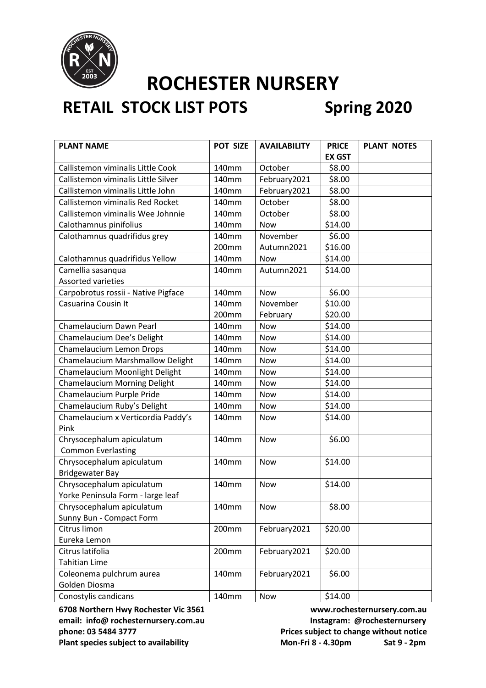

## **RETAIL STOCK LIST POTS Spring 2020**

| <b>PLANT NAME</b>                   | POT SIZE | <b>AVAILABILITY</b> | <b>PRICE</b>  | <b>PLANT NOTES</b> |
|-------------------------------------|----------|---------------------|---------------|--------------------|
|                                     |          |                     | <b>EX GST</b> |                    |
| Callistemon viminalis Little Cook   | 140mm    | October             | \$8.00        |                    |
| Callistemon viminalis Little Silver | 140mm    | February2021        | \$8.00        |                    |
| Callistemon viminalis Little John   | 140mm    | February2021        | \$8.00        |                    |
| Callistemon viminalis Red Rocket    | 140mm    | October             | \$8.00        |                    |
| Callistemon viminalis Wee Johnnie   | 140mm    | October             | \$8.00        |                    |
| Calothamnus pinifolius              | 140mm    | <b>Now</b>          | \$14.00       |                    |
| Calothamnus quadrifidus grey        | 140mm    | November            | \$6.00        |                    |
|                                     | 200mm    | Autumn2021          | \$16.00       |                    |
| Calothamnus quadrifidus Yellow      | 140mm    | Now                 | \$14.00       |                    |
| Camellia sasanqua                   | 140mm    | Autumn2021          | \$14.00       |                    |
| Assorted varieties                  |          |                     |               |                    |
| Carpobrotus rossii - Native Pigface | 140mm    | <b>Now</b>          | \$6.00        |                    |
| Casuarina Cousin It                 | 140mm    | November            | \$10.00       |                    |
|                                     | 200mm    | February            | \$20.00       |                    |
| Chamelaucium Dawn Pearl             | 140mm    | Now                 | \$14.00       |                    |
| Chamelaucium Dee's Delight          | 140mm    | Now                 | \$14.00       |                    |
| Chamelaucium Lemon Drops            | 140mm    | <b>Now</b>          | \$14.00       |                    |
| Chamelaucium Marshmallow Delight    | 140mm    | Now                 | \$14.00       |                    |
| Chamelaucium Moonlight Delight      | 140mm    | Now                 | \$14.00       |                    |
| <b>Chamelaucium Morning Delight</b> | 140mm    | Now                 | \$14.00       |                    |
| Chamelaucium Purple Pride           | 140mm    | Now                 | \$14.00       |                    |
| Chamelaucium Ruby's Delight         | 140mm    | Now                 | \$14.00       |                    |
| Chamelaucium x Verticordia Paddy's  | 140mm    | Now                 | \$14.00       |                    |
| Pink                                |          |                     |               |                    |
| Chrysocephalum apiculatum           | 140mm    | Now                 | \$6.00        |                    |
| <b>Common Everlasting</b>           |          |                     |               |                    |
| Chrysocephalum apiculatum           | 140mm    | <b>Now</b>          | \$14.00       |                    |
| <b>Bridgewater Bay</b>              |          |                     |               |                    |
| Chrysocephalum apiculatum           | 140mm    | Now                 | \$14.00       |                    |
| Yorke Peninsula Form - large leaf   |          |                     |               |                    |
| Chrysocephalum apiculatum           | 140mm    | Now                 | \$8.00        |                    |
| Sunny Bun - Compact Form            |          |                     |               |                    |
| Citrus limon                        | 200mm    | February2021        | \$20.00       |                    |
| Eureka Lemon                        |          |                     |               |                    |
| Citrus latifolia                    | 200mm    | February2021        | \$20.00       |                    |
| <b>Tahitian Lime</b>                |          |                     |               |                    |
| Coleonema pulchrum aurea            | 140mm    | February2021        | \$6.00        |                    |
| Golden Diosma                       |          |                     |               |                    |
| Conostylis candicans                | 140mm    | Now                 | \$14.00       |                    |

email: info@ rochesternursery.com.au **Instagram: @rochesternursery phone: 03 5484 3777 Prices subject to change without notice**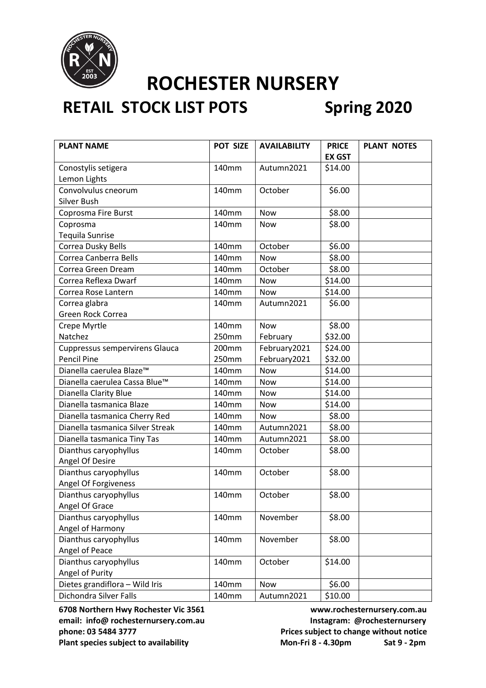

## **RETAIL STOCK LIST POTS Spring 2020**

| <b>PLANT NAME</b>                    | POT SIZE | <b>AVAILABILITY</b> | <b>PRICE</b>  | <b>PLANT NOTES</b> |
|--------------------------------------|----------|---------------------|---------------|--------------------|
|                                      |          |                     | <b>EX GST</b> |                    |
| Conostylis setigera                  | 140mm    | Autumn2021          | \$14.00       |                    |
| Lemon Lights                         |          |                     |               |                    |
| Convolvulus cneorum                  | 140mm    | October             | \$6.00        |                    |
| Silver Bush                          |          |                     |               |                    |
| Coprosma Fire Burst                  | 140mm    | <b>Now</b>          | \$8.00        |                    |
| Coprosma                             | 140mm    | Now                 | \$8.00        |                    |
| <b>Tequila Sunrise</b>               |          |                     |               |                    |
| Correa Dusky Bells                   | 140mm    | October             | \$6.00        |                    |
| Correa Canberra Bells                | 140mm    | Now                 | \$8.00        |                    |
| Correa Green Dream                   | 140mm    | October             | \$8.00        |                    |
| Correa Reflexa Dwarf                 | 140mm    | <b>Now</b>          | \$14.00       |                    |
| Correa Rose Lantern                  | 140mm    | <b>Now</b>          | \$14.00       |                    |
| Correa glabra                        | 140mm    | Autumn2021          | \$6.00        |                    |
| Green Rock Correa                    |          |                     |               |                    |
| Crepe Myrtle                         | 140mm    | <b>Now</b>          | \$8.00        |                    |
| Natchez                              | 250mm    | February            | \$32.00       |                    |
| Cuppressus sempervirens Glauca       | 200mm    | February2021        | \$24.00       |                    |
| <b>Pencil Pine</b>                   | 250mm    | February2021        | \$32.00       |                    |
| Dianella caerulea Blaze <sup>™</sup> | 140mm    | Now                 | \$14.00       |                    |
| Dianella caerulea Cassa Blue™        | 140mm    | Now                 | \$14.00       |                    |
| Dianella Clarity Blue                | 140mm    | Now                 | \$14.00       |                    |
| Dianella tasmanica Blaze             | 140mm    | <b>Now</b>          | \$14.00       |                    |
| Dianella tasmanica Cherry Red        | 140mm    | Now                 | \$8.00        |                    |
| Dianella tasmanica Silver Streak     | 140mm    | Autumn2021          | \$8.00        |                    |
| Dianella tasmanica Tiny Tas          | 140mm    | Autumn2021          | \$8.00        |                    |
| Dianthus caryophyllus                | 140mm    | October             | \$8.00        |                    |
| Angel Of Desire                      |          |                     |               |                    |
| Dianthus caryophyllus                | 140mm    | October             | \$8.00        |                    |
| Angel Of Forgiveness                 |          |                     |               |                    |
| Dianthus caryophyllus                | 140mm    | October             | \$8.00        |                    |
| Angel Of Grace                       |          |                     |               |                    |
| Dianthus caryophyllus                | 140mm    | November            | \$8.00        |                    |
| Angel of Harmony                     |          |                     |               |                    |
| Dianthus caryophyllus                | 140mm    | November            | \$8.00        |                    |
| Angel of Peace                       |          |                     |               |                    |
| Dianthus caryophyllus                | 140mm    | October             | \$14.00       |                    |
| Angel of Purity                      |          |                     |               |                    |
| Dietes grandiflora - Wild Iris       | 140mm    | <b>Now</b>          | \$6.00        |                    |
| Dichondra Silver Falls               | 140mm    | Autumn2021          | \$10.00       |                    |

**6708 Northern Hwy Rochester Vic 3561 www.rochesternursery.com.au** email: info@ rochesternursery.com.au **Instagram: @rochesternursery phone: 03 5484 3777 Prices subject to change without notice**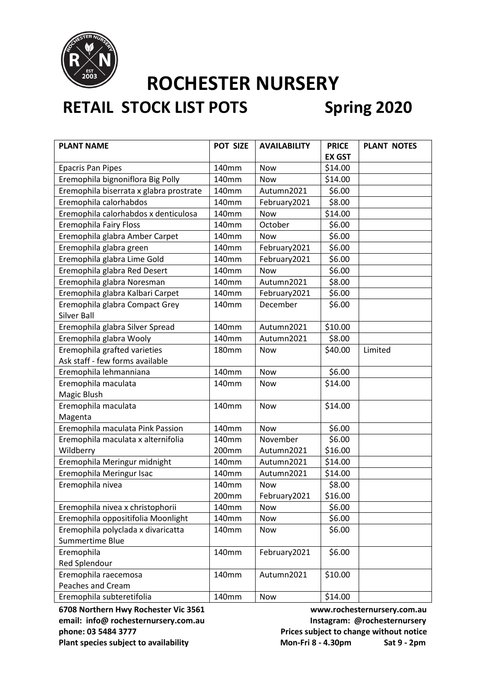

## **RETAIL STOCK LIST POTS Spring 2020**

| <b>PLANT NAME</b>                       | POT SIZE     | <b>AVAILABILITY</b> | <b>PRICE</b>  | <b>PLANT NOTES</b> |
|-----------------------------------------|--------------|---------------------|---------------|--------------------|
|                                         |              |                     | <b>EX GST</b> |                    |
| <b>Epacris Pan Pipes</b>                | 140mm        | <b>Now</b>          | \$14.00       |                    |
| Eremophila bignoniflora Big Polly       | 140mm        | Now                 | \$14.00       |                    |
| Eremophila biserrata x glabra prostrate | 140mm        | Autumn2021          | \$6.00        |                    |
| Eremophila calorhabdos                  | 140mm        | February2021        | \$8.00        |                    |
| Eremophila calorhabdos x denticulosa    | 140mm        | Now                 | \$14.00       |                    |
| <b>Eremophila Fairy Floss</b>           | 140mm        | October             | \$6.00        |                    |
| Eremophila glabra Amber Carpet          | 140mm        | <b>Now</b>          | \$6.00        |                    |
| Eremophila glabra green                 | 140mm        | February2021        | \$6.00        |                    |
| Eremophila glabra Lime Gold             | 140mm        | February2021        | \$6.00        |                    |
| Eremophila glabra Red Desert            | 140mm        | <b>Now</b>          | \$6.00        |                    |
| Eremophila glabra Noresman              | 140mm        | Autumn2021          | \$8.00        |                    |
| Eremophila glabra Kalbari Carpet        | 140mm        | February2021        | \$6.00        |                    |
| Eremophila glabra Compact Grey          | 140mm        | December            | \$6.00        |                    |
| Silver Ball                             |              |                     |               |                    |
| Eremophila glabra Silver Spread         | 140mm        | Autumn2021          | \$10.00       |                    |
| Eremophila glabra Wooly                 | 140mm        | Autumn2021          | \$8.00        |                    |
| Eremophila grafted varieties            | <b>180mm</b> | <b>Now</b>          | \$40.00       | Limited            |
| Ask staff - few forms available         |              |                     |               |                    |
| Eremophila lehmanniana                  | 140mm        | <b>Now</b>          | \$6.00        |                    |
| Eremophila maculata                     | 140mm        | <b>Now</b>          | \$14.00       |                    |
| Magic Blush                             |              |                     |               |                    |
| Eremophila maculata                     | 140mm        | Now                 | \$14.00       |                    |
| Magenta                                 |              |                     |               |                    |
| Eremophila maculata Pink Passion        | 140mm        | <b>Now</b>          | \$6.00        |                    |
| Eremophila maculata x alternifolia      | 140mm        | November            | \$6.00        |                    |
| Wildberry                               | 200mm        | Autumn2021          | \$16.00       |                    |
| Eremophila Meringur midnight            | 140mm        | Autumn2021          | \$14.00       |                    |
| Eremophila Meringur Isac                | 140mm        | Autumn2021          | \$14.00       |                    |
| Eremophila nivea                        | 140mm        | <b>Now</b>          | \$8.00        |                    |
|                                         | 200mm        | February2021        | \$16.00       |                    |
| Eremophila nivea x christophorii        | 140mm        | Now                 | \$6.00        |                    |
| Eremophila oppositifolia Moonlight      | 140mm        | <b>Now</b>          | \$6.00        |                    |
| Eremophila polyclada x divaricatta      | 140mm        | Now                 | \$6.00        |                    |
| Summertime Blue                         |              |                     |               |                    |
| Eremophila                              | 140mm        | February2021        | \$6.00        |                    |
| <b>Red Splendour</b>                    |              |                     |               |                    |
| Eremophila raecemosa                    | 140mm        | Autumn2021          | \$10.00       |                    |
| <b>Peaches and Cream</b>                |              |                     |               |                    |
| Eremophila subteretifolia               | 140mm        | Now                 | \$14.00       |                    |

email: info@ rochesternursery.com.au **Instagram: @rochesternursery phone: 03 5484 3777 Prices subject to change without notice**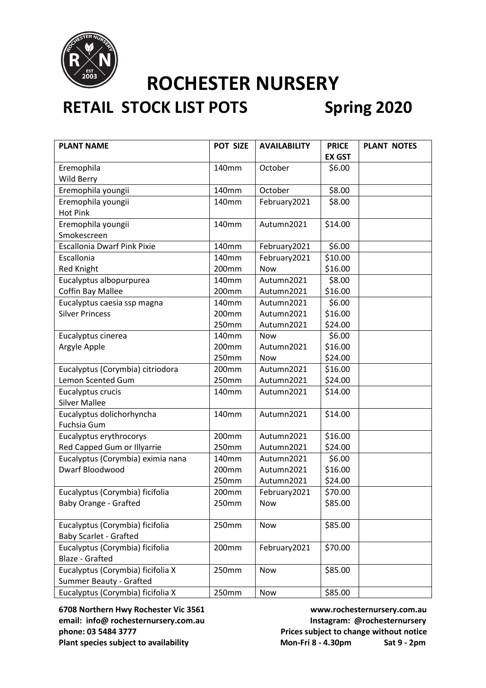

## **RETAIL STOCK LIST POTS Spring 2020**

| <b>PLANT NAME</b>                  | <b>POT SIZE</b> | <b>AVAILABILITY</b> | <b>PRICE</b>  | <b>PLANT NOTES</b> |
|------------------------------------|-----------------|---------------------|---------------|--------------------|
|                                    |                 |                     | <b>EX GST</b> |                    |
| Eremophila                         | 140mm           | October             | \$6.00        |                    |
| Wild Berry                         |                 |                     |               |                    |
| Eremophila youngii                 | 140mm           | October             | \$8.00        |                    |
| Eremophila youngii                 | 140mm           | February2021        | \$8.00        |                    |
| <b>Hot Pink</b>                    |                 |                     |               |                    |
| Eremophila youngii                 | 140mm           | Autumn2021          | \$14.00       |                    |
| Smokescreen                        |                 |                     |               |                    |
| <b>Escallonia Dwarf Pink Pixie</b> | 140mm           | February2021        | \$6.00        |                    |
| Escallonia                         | 140mm           | February2021        | \$10.00       |                    |
| <b>Red Knight</b>                  | 200mm           | <b>Now</b>          | \$16.00       |                    |
| Eucalyptus albopurpurea            | 140mm           | Autumn2021          | \$8.00        |                    |
| <b>Coffin Bay Mallee</b>           | 200mm           | Autumn2021          | \$16.00       |                    |
| Eucalyptus caesia ssp magna        | 140mm           | Autumn2021          | \$6.00        |                    |
| <b>Silver Princess</b>             | 200mm           | Autumn2021          | \$16.00       |                    |
|                                    | 250mm           | Autumn2021          | \$24.00       |                    |
| Eucalyptus cinerea                 | 140mm           | Now                 | \$6.00        |                    |
| Argyle Apple                       | 200mm           | Autumn2021          | \$16.00       |                    |
|                                    | 250mm           | Now                 | \$24.00       |                    |
| Eucalyptus (Corymbia) citriodora   | 200mm           | Autumn2021          | \$16.00       |                    |
| Lemon Scented Gum                  | 250mm           | Autumn2021          | \$24.00       |                    |
| Eucalyptus crucis                  | 140mm           | Autumn2021          | \$14.00       |                    |
| <b>Silver Mallee</b>               |                 |                     |               |                    |
| Eucalyptus dolichorhyncha          | 140mm           | Autumn2021          | \$14.00       |                    |
| Fuchsia Gum                        |                 |                     |               |                    |
| Eucalyptus erythrocorys            | 200mm           | Autumn2021          | \$16.00       |                    |
| Red Capped Gum or Illyarrie        | 250mm           | Autumn2021          | \$24.00       |                    |
| Eucalyptus (Corymbia) eximia nana  | 140mm           | Autumn2021          | \$6.00        |                    |
| Dwarf Bloodwood                    | 200mm           | Autumn2021          | \$16.00       |                    |
|                                    | 250mm           | Autumn2021          | \$24.00       |                    |
| Eucalyptus (Corymbia) ficifolia    | 200mm           | February2021        | \$70.00       |                    |
| Baby Orange - Grafted              | 250mm           | Now                 | \$85.00       |                    |
|                                    |                 |                     |               |                    |
| Eucalyptus (Corymbia) ficifolia    | 250mm           | Now                 | \$85.00       |                    |
| <b>Baby Scarlet - Grafted</b>      |                 |                     |               |                    |
| Eucalyptus (Corymbia) ficifolia    | 200mm           | February2021        | \$70.00       |                    |
| <b>Blaze - Grafted</b>             |                 |                     |               |                    |
| Eucalyptus (Corymbia) ficifolia X  | 250mm           | Now                 | \$85.00       |                    |
| <b>Summer Beauty - Grafted</b>     |                 |                     |               |                    |
| Eucalyptus (Corymbia) ficifolia X  | 250mm           | Now                 | \$85.00       |                    |

**6708 Northern Hwy Rochester Vic 3561 www.rochesternursery.com.au** email: info@ rochesternursery.com.au **Instagram: @rochesternursery phone: 03 5484 3777 Prices subject to change without notice** Plant species subject to availability Mon-Fri 8 - 4.30pm Sat 9 - 2pm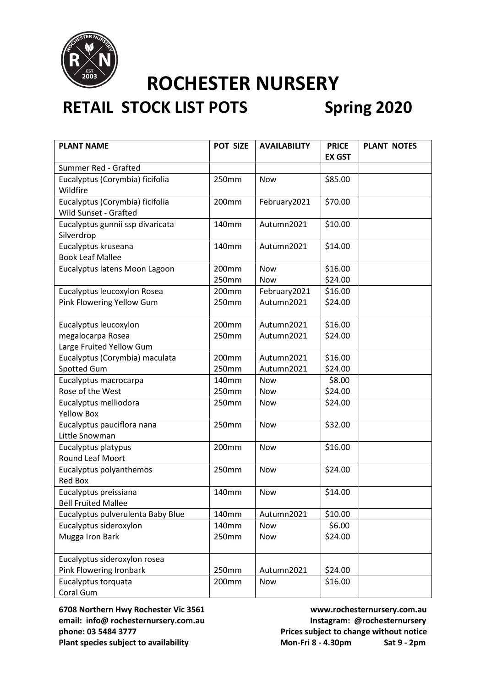

# **RETAIL STOCK LIST POTS Spring 2020**

| <b>PLANT NAME</b>                                        | POT SIZE       | <b>AVAILABILITY</b>      | <b>PRICE</b><br><b>EX GST</b> | <b>PLANT NOTES</b> |
|----------------------------------------------------------|----------------|--------------------------|-------------------------------|--------------------|
| Summer Red - Grafted                                     |                |                          |                               |                    |
| Eucalyptus (Corymbia) ficifolia<br>Wildfire              | 250mm          | <b>Now</b>               | \$85.00                       |                    |
| Eucalyptus (Corymbia) ficifolia<br>Wild Sunset - Grafted | 200mm          | February2021             | \$70.00                       |                    |
| Eucalyptus gunnii ssp divaricata<br>Silverdrop           | 140mm          | Autumn2021               | \$10.00                       |                    |
| Eucalyptus kruseana<br><b>Book Leaf Mallee</b>           | 140mm          | Autumn2021               | \$14.00                       |                    |
| Eucalyptus latens Moon Lagoon                            | 200mm<br>250mm | <b>Now</b><br><b>Now</b> | \$16.00<br>\$24.00            |                    |
| Eucalyptus leucoxylon Rosea                              | 200mm          | February2021             | \$16.00                       |                    |
| Pink Flowering Yellow Gum                                | 250mm          | Autumn2021               | \$24.00                       |                    |
| Eucalyptus leucoxylon                                    | 200mm          | Autumn2021               | \$16.00                       |                    |
| megalocarpa Rosea                                        | 250mm          | Autumn2021               | \$24.00                       |                    |
| Large Fruited Yellow Gum                                 |                |                          |                               |                    |
| Eucalyptus (Corymbia) maculata                           | 200mm          | Autumn2021               | \$16.00                       |                    |
| Spotted Gum                                              | 250mm          | Autumn2021               | \$24.00                       |                    |
| Eucalyptus macrocarpa                                    | 140mm          | <b>Now</b>               | \$8.00                        |                    |
| Rose of the West                                         | 250mm          | Now                      | \$24.00                       |                    |
| Eucalyptus melliodora<br><b>Yellow Box</b>               | 250mm          | Now                      | \$24.00                       |                    |
| Eucalyptus pauciflora nana<br>Little Snowman             | 250mm          | <b>Now</b>               | \$32.00                       |                    |
| Eucalyptus platypus<br>Round Leaf Moort                  | 200mm          | Now                      | \$16.00                       |                    |
| Eucalyptus polyanthemos<br><b>Red Box</b>                | 250mm          | <b>Now</b>               | \$24.00                       |                    |
| Eucalyptus preissiana<br><b>Bell Fruited Mallee</b>      | 140mm          | Now                      | \$14.00                       |                    |
| Eucalyptus pulverulenta Baby Blue                        | 140mm          | Autumn2021               | \$10.00                       |                    |
| Eucalyptus sideroxylon                                   | 140mm          | <b>Now</b>               | \$6.00                        |                    |
| Mugga Iron Bark                                          | 250mm          | Now                      | \$24.00                       |                    |
| Eucalyptus sideroxylon rosea                             |                |                          |                               |                    |
| Pink Flowering Ironbark                                  | 250mm          | Autumn2021               | \$24.00                       |                    |
| Eucalyptus torquata<br>Coral Gum                         | 200mm          | Now                      | \$16.00                       |                    |

email: info@ rochesternursery.com.au **Instagram: @rochesternursery phone: 03 5484 3777 Prices subject to change without notice** Plant species subject to availability Mon-Fri 8 - 4.30pm Sat 9 - 2pm

**6708 Northern Hwy Rochester Vic 3561 www.rochesternursery.com.au**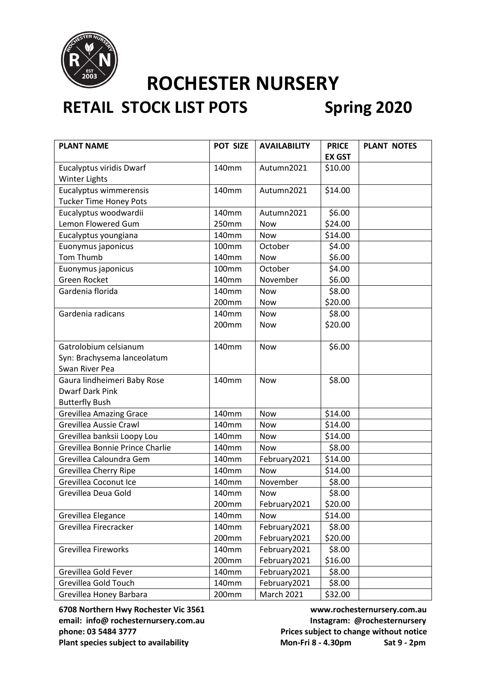

## **RETAIL STOCK LIST POTS Spring 2020**

| <b>PLANT NAME</b>               | POT SIZE          | <b>AVAILABILITY</b> | <b>PRICE</b>  | <b>PLANT NOTES</b> |
|---------------------------------|-------------------|---------------------|---------------|--------------------|
|                                 |                   |                     | <b>EX GST</b> |                    |
| Eucalyptus viridis Dwarf        | 140mm             | Autumn2021          | \$10.00       |                    |
| <b>Winter Lights</b>            |                   |                     |               |                    |
| Eucalyptus wimmerensis          | 140mm             | Autumn2021          | \$14.00       |                    |
| <b>Tucker Time Honey Pots</b>   |                   |                     |               |                    |
| Eucalyptus woodwardii           | 140mm             | Autumn2021          | \$6.00        |                    |
| Lemon Flowered Gum              | 250mm             | Now                 | \$24.00       |                    |
| Eucalyptus youngiana            | 140mm             | Now                 | \$14.00       |                    |
| Euonymus japonicus              | 100 <sub>mm</sub> | October             | \$4.00        |                    |
| Tom Thumb                       | 140mm             | Now                 | \$6.00        |                    |
| Euonymus japonicus              | 100mm             | October             | \$4.00        |                    |
| Green Rocket                    | 140mm             | November            | \$6.00        |                    |
| Gardenia florida                | 140mm             | <b>Now</b>          | \$8.00        |                    |
|                                 | 200mm             | <b>Now</b>          | \$20.00       |                    |
| Gardenia radicans               | 140mm             | <b>Now</b>          | \$8.00        |                    |
|                                 | 200mm             | Now                 | \$20.00       |                    |
|                                 |                   |                     |               |                    |
| Gatrolobium celsianum           | 140mm             | Now                 | \$6.00        |                    |
| Syn: Brachysema lanceolatum     |                   |                     |               |                    |
| Swan River Pea                  |                   |                     |               |                    |
| Gaura lindheimeri Baby Rose     | 140mm             | <b>Now</b>          | \$8.00        |                    |
| <b>Dwarf Dark Pink</b>          |                   |                     |               |                    |
| <b>Butterfly Bush</b>           |                   |                     |               |                    |
| <b>Grevillea Amazing Grace</b>  | 140mm             | <b>Now</b>          | \$14.00       |                    |
| Grevillea Aussie Crawl          | 140mm             | <b>Now</b>          | \$14.00       |                    |
| Grevillea banksii Loopy Lou     | 140mm             | Now                 | \$14.00       |                    |
| Grevillea Bonnie Prince Charlie | 140mm             | Now                 | \$8.00        |                    |
| Grevillea Caloundra Gem         | 140mm             | February2021        | \$14.00       |                    |
| Grevillea Cherry Ripe           | 140mm             | Now                 | \$14.00       |                    |
| Grevillea Coconut Ice           | 140mm             | November            | \$8.00        |                    |
| Grevillea Deua Gold             | 140mm             | <b>Now</b>          | \$8.00        |                    |
|                                 | 200mm             | February2021        | \$20.00       |                    |
| Grevillea Elegance              | 140mm             | Now                 | \$14.00       |                    |
| Grevillea Firecracker           | 140mm             | February2021        | \$8.00        |                    |
|                                 | 200mm             | February2021        | \$20.00       |                    |
| Grevillea Fireworks             | 140mm             | February2021        | \$8.00        |                    |
|                                 | 200mm             | February2021        | \$16.00       |                    |
| Grevillea Gold Fever            | 140mm             | February2021        | \$8.00        |                    |
| Grevillea Gold Touch            | 140mm             | February2021        | \$8.00        |                    |
| Grevillea Honey Barbara         | 200mm             | <b>March 2021</b>   | \$32.00       |                    |

**6708 Northern Hwy Rochester Vic 3561 www.rochesternursery.com.au** email: info@ rochesternursery.com.au **Instagram: @rochesternursery phone: 03 5484 3777 Prices subject to change without notice** Plant species subject to availability Mon-Fri 8 - 4.30pm Sat 9 - 2pm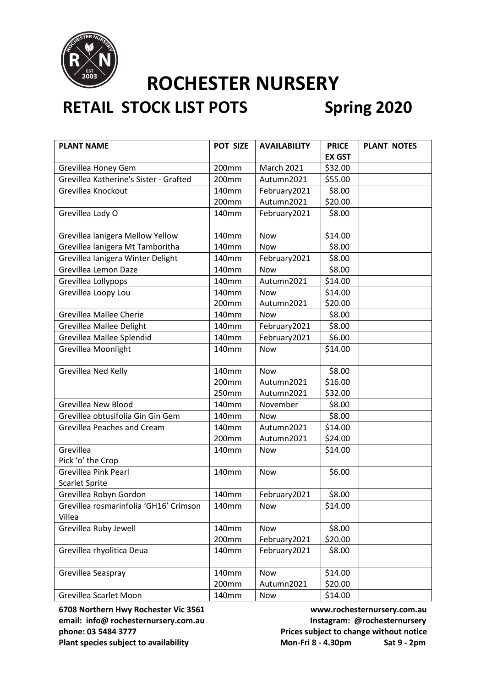

## **RETAIL STOCK LIST POTS Spring 2020**

| <b>PLANT NAME</b>                      | POT SIZE          | <b>AVAILABILITY</b> | <b>PRICE</b>  | <b>PLANT NOTES</b> |
|----------------------------------------|-------------------|---------------------|---------------|--------------------|
|                                        |                   |                     | <b>EX GST</b> |                    |
| Grevillea Honey Gem                    | 200mm             | <b>March 2021</b>   | \$32.00       |                    |
| Grevillea Katherine's Sister - Grafted | 200 <sub>mm</sub> | Autumn2021          | \$55.00       |                    |
| Grevillea Knockout                     | 140mm             | February2021        | \$8.00        |                    |
|                                        | 200mm             | Autumn2021          | \$20.00       |                    |
| Grevillea Lady O                       | 140mm             | February2021        | \$8.00        |                    |
|                                        |                   |                     |               |                    |
| Grevillea lanigera Mellow Yellow       | 140mm             | <b>Now</b>          | \$14.00       |                    |
| Grevillea lanigera Mt Tamboritha       | 140mm             | Now                 | \$8.00        |                    |
| Grevillea lanigera Winter Delight      | 140mm             | February2021        | \$8.00        |                    |
| Grevillea Lemon Daze                   | 140mm             | <b>Now</b>          | \$8.00        |                    |
| Grevillea Lollypops                    | 140mm             | Autumn2021          | \$14.00       |                    |
| Grevillea Loopy Lou                    | 140mm             | Now                 | \$14.00       |                    |
|                                        | 200mm             | Autumn2021          | \$20.00       |                    |
| <b>Grevillea Mallee Cherie</b>         | 140mm             | <b>Now</b>          | \$8.00        |                    |
| <b>Grevillea Mallee Delight</b>        | 140mm             | February2021        | \$8.00        |                    |
| Grevillea Mallee Splendid              | 140mm             | February2021        | \$6.00        |                    |
| Grevillea Moonlight                    | 140mm             | <b>Now</b>          | \$14.00       |                    |
|                                        |                   |                     |               |                    |
| Grevillea Ned Kelly                    | 140mm             | <b>Now</b>          | \$8.00        |                    |
|                                        | 200mm             | Autumn2021          | \$16.00       |                    |
|                                        | 250mm             | Autumn2021          | \$32.00       |                    |
| <b>Grevillea New Blood</b>             | 140mm             | November            | \$8.00        |                    |
| Grevillea obtusifolia Gin Gin Gem      | 140mm             | Now                 | \$8.00        |                    |
| Grevillea Peaches and Cream            | 140mm             | Autumn2021          | \$14.00       |                    |
|                                        | 200mm             | Autumn2021          | \$24.00       |                    |
| Grevillea                              | 140mm             | Now                 | \$14.00       |                    |
| Pick 'o' the Crop                      |                   |                     |               |                    |
| <b>Grevillea Pink Pearl</b>            | 140mm             | <b>Now</b>          | \$6.00        |                    |
| <b>Scarlet Sprite</b>                  |                   |                     |               |                    |
| Grevillea Robyn Gordon                 | 140mm             | February2021        | \$8.00        |                    |
| Grevillea rosmarinfolia 'GH16' Crimson | 140mm             | Now                 | \$14.00       |                    |
| Villea                                 |                   |                     |               |                    |
| Grevillea Ruby Jewell                  | 140mm             | <b>Now</b>          | \$8.00        |                    |
|                                        | 200mm             | February2021        | \$20.00       |                    |
| Grevillea rhyolitica Deua              | 140mm             | February2021        | \$8.00        |                    |
| Grevillea Seaspray                     | 140mm             | <b>Now</b>          | \$14.00       |                    |
|                                        | 200mm             | Autumn2021          | \$20.00       |                    |
| Grevillea Scarlet Moon                 | 140mm             | Now                 | \$14.00       |                    |

**6708 Northern Hwy Rochester Vic 3561 www.rochesternursery.com.au** email: info@ rochesternursery.com.au **Instagram: @rochesternursery phone: 03 5484 3777 Prices subject to change without notice**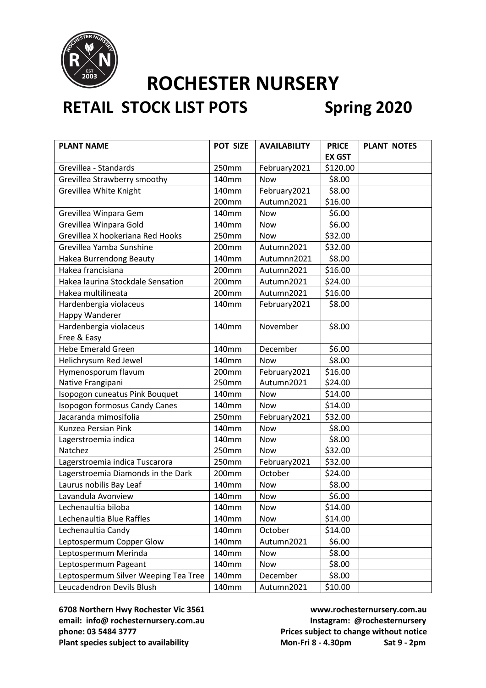

## **RETAIL STOCK LIST POTS Spring 2020**

| <b>PLANT NAME</b>                    | POT SIZE | <b>AVAILABILITY</b> | <b>PRICE</b>  | <b>PLANT NOTES</b> |
|--------------------------------------|----------|---------------------|---------------|--------------------|
|                                      |          |                     | <b>EX GST</b> |                    |
| Grevillea - Standards                | 250mm    | February2021        | \$120.00      |                    |
| Grevillea Strawberry smoothy         | 140mm    | Now                 | \$8.00        |                    |
| Grevillea White Knight               | 140mm    | February2021        | \$8.00        |                    |
|                                      | 200mm    | Autumn2021          | \$16.00       |                    |
| Grevillea Winpara Gem                | 140mm    | <b>Now</b>          | \$6.00        |                    |
| Grevillea Winpara Gold               | 140mm    | <b>Now</b>          | \$6.00        |                    |
| Grevillea X hookeriana Red Hooks     | 250mm    | <b>Now</b>          | \$32.00       |                    |
| Grevillea Yamba Sunshine             | 200mm    | Autumn2021          | \$32.00       |                    |
| Hakea Burrendong Beauty              | 140mm    | Autumnn2021         | \$8.00        |                    |
| Hakea francisiana                    | 200mm    | Autumn2021          | \$16.00       |                    |
| Hakea laurina Stockdale Sensation    | 200mm    | Autumn2021          | \$24.00       |                    |
| Hakea multilineata                   | 200mm    | Autumn2021          | \$16.00       |                    |
| Hardenbergia violaceus               | 140mm    | February2021        | \$8.00        |                    |
| Happy Wanderer                       |          |                     |               |                    |
| Hardenbergia violaceus               | 140mm    | November            | \$8.00        |                    |
| Free & Easy                          |          |                     |               |                    |
| <b>Hebe Emerald Green</b>            | 140mm    | December            | \$6.00        |                    |
| Helichrysum Red Jewel                | 140mm    | Now                 | \$8.00        |                    |
| Hymenosporum flavum                  | 200mm    | February2021        | \$16.00       |                    |
| Native Frangipani                    | 250mm    | Autumn2021          | \$24.00       |                    |
| Isopogon cuneatus Pink Bouquet       | 140mm    | <b>Now</b>          | \$14.00       |                    |
| <b>Isopogon formosus Candy Canes</b> | 140mm    | <b>Now</b>          | \$14.00       |                    |
| Jacaranda mimosifolia                | 250mm    | February2021        | \$32.00       |                    |
| Kunzea Persian Pink                  | 140mm    | <b>Now</b>          | \$8.00        |                    |
| Lagerstroemia indica                 | 140mm    | Now                 | \$8.00        |                    |
| Natchez                              | 250mm    | <b>Now</b>          | \$32.00       |                    |
| Lagerstroemia indica Tuscarora       | 250mm    | February2021        | \$32.00       |                    |
| Lagerstroemia Diamonds in the Dark   | 200mm    | October             | \$24.00       |                    |
| Laurus nobilis Bay Leaf              | 140mm    | <b>Now</b>          | \$8.00        |                    |
| Lavandula Avonview                   | 140mm    | Now                 | \$6.00        |                    |
| Lechenaultia biloba                  | 140mm    | Now                 | \$14.00       |                    |
| Lechenaultia Blue Raffles            | 140mm    | Now                 | \$14.00       |                    |
| Lechenaultia Candy                   | 140mm    | October             | \$14.00       |                    |
| Leptospermum Copper Glow             | 140mm    | Autumn2021          | \$6.00        |                    |
| Leptospermum Merinda                 | 140mm    | Now                 | \$8.00        |                    |
| Leptospermum Pageant                 | 140mm    | Now                 | \$8.00        |                    |
| Leptospermum Silver Weeping Tea Tree | 140mm    | December            | \$8.00        |                    |
| Leucadendron Devils Blush            | 140mm    | Autumn2021          | \$10.00       |                    |

**6708 Northern Hwy Rochester Vic 3561 www.rochesternursery.com.au** email: info@ rochesternursery.com.au **Instagram: @rochesternursery phone: 03 5484 3777 Prices subject to change without notice** Plant species subject to availability Mon-Fri 8 - 4.30pm Sat 9 - 2pm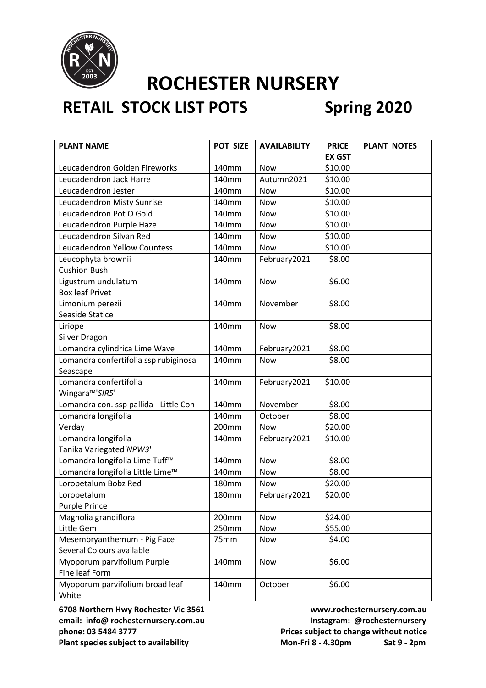

## **RETAIL STOCK LIST POTS Spring 2020**

| <b>PLANT NAME</b>                          | POT SIZE          | <b>AVAILABILITY</b> | <b>PRICE</b>  | <b>PLANT NOTES</b> |
|--------------------------------------------|-------------------|---------------------|---------------|--------------------|
|                                            |                   |                     | <b>EX GST</b> |                    |
| Leucadendron Golden Fireworks              | 140mm             | <b>Now</b>          | \$10.00       |                    |
| Leucadendron Jack Harre                    | 140mm             | Autumn2021          | \$10.00       |                    |
| Leucadendron Jester                        | 140mm             | <b>Now</b>          | \$10.00       |                    |
| Leucadendron Misty Sunrise                 | 140mm             | Now                 | \$10.00       |                    |
| Leucadendron Pot O Gold                    | 140mm             | Now                 | \$10.00       |                    |
| Leucadendron Purple Haze                   | 140mm             | Now                 | \$10.00       |                    |
| Leucadendron Silvan Red                    | 140mm             | <b>Now</b>          | \$10.00       |                    |
| Leucadendron Yellow Countess               | 140 <sub>mm</sub> | Now                 | \$10.00       |                    |
| Leucophyta brownii                         | 140mm             | February2021        | \$8.00        |                    |
| <b>Cushion Bush</b>                        |                   |                     |               |                    |
| Ligustrum undulatum                        | 140mm             | Now                 | \$6.00        |                    |
| <b>Box leaf Privet</b>                     |                   |                     |               |                    |
| Limonium perezii                           | 140mm             | November            | \$8.00        |                    |
| Seaside Statice                            |                   |                     |               |                    |
| Liriope                                    | 140mm             | <b>Now</b>          | \$8.00        |                    |
| Silver Dragon                              |                   |                     |               |                    |
| Lomandra cylindrica Lime Wave              | 140mm             | February2021        | \$8.00        |                    |
| Lomandra confertifolia ssp rubiginosa      | 140mm             | <b>Now</b>          | \$8.00        |                    |
| Seascape                                   |                   |                     |               |                    |
| Lomandra confertifolia                     | 140mm             | February2021        | \$10.00       |                    |
| Wingara <sup>™'</sup> SIR5'                |                   |                     |               |                    |
| Lomandra con. ssp pallida - Little Con     | 140mm             | November            | \$8.00        |                    |
| Lomandra longifolia                        | 140mm             | October             | \$8.00        |                    |
| Verday                                     | 200mm             | <b>Now</b>          | \$20.00       |                    |
| Lomandra longifolia                        | 140mm             | February2021        | \$10.00       |                    |
| Tanika Variegated'NPW3'                    |                   |                     |               |                    |
| Lomandra longifolia Lime Tuff <sup>™</sup> | 140mm             | <b>Now</b>          | \$8.00        |                    |
| Lomandra longifolia Little Lime™           | 140mm             | <b>Now</b>          | \$8.00        |                    |
| Loropetalum Bobz Red                       | 180mm             | Now                 | \$20.00       |                    |
| Loropetalum                                | <b>180mm</b>      | February2021        | \$20.00       |                    |
| <b>Purple Prince</b>                       |                   |                     |               |                    |
| Magnolia grandiflora                       | 200mm             | Now                 | \$24.00       |                    |
| Little Gem                                 | 250mm             | Now                 | \$55.00       |                    |
| Mesembryanthemum - Pig Face                | 75mm              | Now                 | \$4.00        |                    |
| Several Colours available                  |                   |                     |               |                    |
| Myoporum parvifolium Purple                | 140mm             | Now                 | \$6.00        |                    |
| Fine leaf Form                             |                   |                     |               |                    |
| Myoporum parvifolium broad leaf            | 140mm             | October             | \$6.00        |                    |
| White                                      |                   |                     |               |                    |

email: info@ rochesternursery.com.au **Instagram: @rochesternursery phone: 03 5484 3777 Prices subject to change without notice**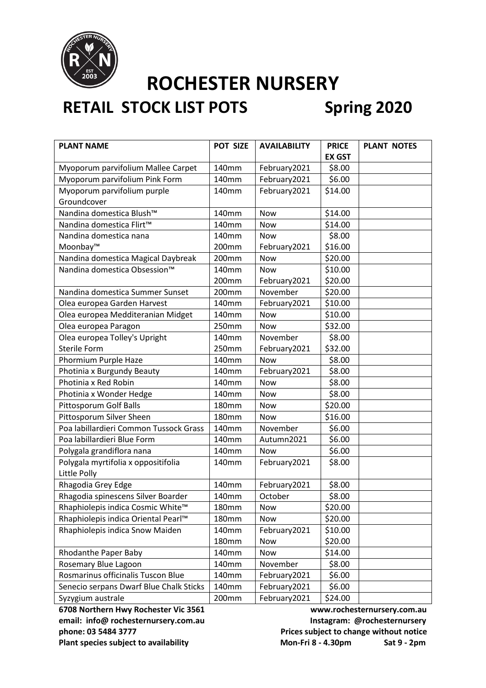

## **RETAIL STOCK LIST POTS Spring 2020**

| <b>PLANT NAME</b>                                   | POT SIZE     | <b>AVAILABILITY</b> | <b>PRICE</b>  | <b>PLANT NOTES</b> |
|-----------------------------------------------------|--------------|---------------------|---------------|--------------------|
|                                                     |              |                     | <b>EX GST</b> |                    |
| Myoporum parvifolium Mallee Carpet                  | 140mm        | February2021        | \$8.00        |                    |
| Myoporum parvifolium Pink Form                      | 140mm        | February2021        | \$6.00        |                    |
| Myoporum parvifolium purple                         | 140mm        | February2021        | \$14.00       |                    |
| Groundcover                                         |              |                     |               |                    |
| Nandina domestica Blush™                            | 140mm        | <b>Now</b>          | \$14.00       |                    |
| Nandina domestica Flirt™                            | 140mm        | Now                 | \$14.00       |                    |
| Nandina domestica nana                              | 140mm        | Now                 | \$8.00        |                    |
| Moonbay™                                            | 200mm        | February2021        | \$16.00       |                    |
| Nandina domestica Magical Daybreak                  | 200mm        | <b>Now</b>          | \$20.00       |                    |
| Nandina domestica Obsession <sup>™</sup>            | 140mm        | <b>Now</b>          | \$10.00       |                    |
|                                                     | 200mm        | February2021        | \$20.00       |                    |
| Nandina domestica Summer Sunset                     | 200mm        | November            | \$20.00       |                    |
| Olea europea Garden Harvest                         | 140mm        | February2021        | \$10.00       |                    |
| Olea europea Medditeranian Midget                   | 140mm        | Now                 | \$10.00       |                    |
| Olea europea Paragon                                | 250mm        | <b>Now</b>          | \$32.00       |                    |
| Olea europea Tolley's Upright                       | 140mm        | November            | \$8.00        |                    |
| <b>Sterile Form</b>                                 | 250mm        | February2021        | \$32.00       |                    |
| Phormium Purple Haze                                | 140mm        | <b>Now</b>          | \$8.00        |                    |
| Photinia x Burgundy Beauty                          | 140mm        | February2021        | \$8.00        |                    |
| Photinia x Red Robin                                | 140mm        | <b>Now</b>          | \$8.00        |                    |
| Photinia x Wonder Hedge                             | 140mm        | Now                 | \$8.00        |                    |
| <b>Pittosporum Golf Balls</b>                       | <b>180mm</b> | Now                 | \$20.00       |                    |
| Pittosporum Silver Sheen                            | <b>180mm</b> | <b>Now</b>          | \$16.00       |                    |
| Poa labillardieri Common Tussock Grass              | 140mm        | November            | \$6.00        |                    |
| Poa labillardieri Blue Form                         | 140mm        | Autumn2021          | \$6.00        |                    |
| Polygala grandiflora nana                           | 140mm        | <b>Now</b>          | \$6.00        |                    |
| Polygala myrtifolia x oppositifolia<br>Little Polly | 140mm        | February2021        | \$8.00        |                    |
| Rhagodia Grey Edge                                  | 140mm        | February2021        | \$8.00        |                    |
| Rhagodia spinescens Silver Boarder                  | 140mm        | October             | \$8.00        |                    |
| Rhaphiolepis indica Cosmic White™                   | $180$ mm     | Now                 | \$20.00       |                    |
| Rhaphiolepis indica Oriental Pearl™                 | <b>180mm</b> | Now                 | \$20.00       |                    |
| Rhaphiolepis indica Snow Maiden                     | 140mm        | February2021        | \$10.00       |                    |
|                                                     | <b>180mm</b> | Now                 | \$20.00       |                    |
| Rhodanthe Paper Baby                                | 140mm        | Now                 | \$14.00       |                    |
| Rosemary Blue Lagoon                                | 140mm        | November            | \$8.00        |                    |
| Rosmarinus officinalis Tuscon Blue                  | 140mm        | February2021        | \$6.00        |                    |
| Senecio serpans Dwarf Blue Chalk Sticks             | 140mm        | February2021        | \$6.00        |                    |
| Syzygium australe                                   | 200mm        | February2021        | \$24.00       |                    |

email: info@ rochesternursery.com.au **Instagram: @rochesternursery phone: 03 5484 3777 Prices subject to change without notice**